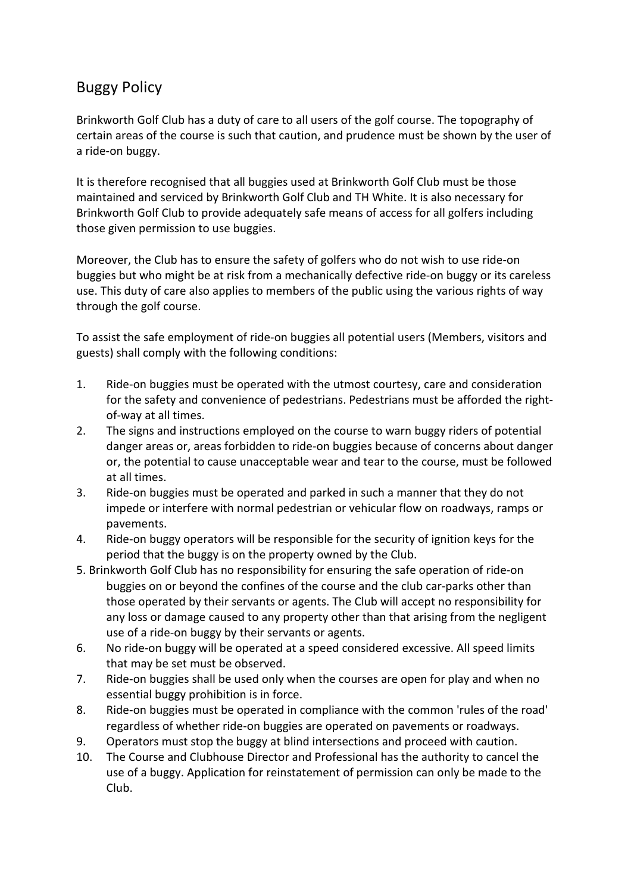# Buggy Policy

Brinkworth Golf Club has a duty of care to all users of the golf course. The topography of certain areas of the course is such that caution, and prudence must be shown by the user of a ride-on buggy.

It is therefore recognised that all buggies used at Brinkworth Golf Club must be those maintained and serviced by Brinkworth Golf Club and TH White. It is also necessary for Brinkworth Golf Club to provide adequately safe means of access for all golfers including those given permission to use buggies.

Moreover, the Club has to ensure the safety of golfers who do not wish to use ride-on buggies but who might be at risk from a mechanically defective ride-on buggy or its careless use. This duty of care also applies to members of the public using the various rights of way through the golf course.

To assist the safe employment of ride-on buggies all potential users (Members, visitors and guests) shall comply with the following conditions:

- 1. Ride-on buggies must be operated with the utmost courtesy, care and consideration for the safety and convenience of pedestrians. Pedestrians must be afforded the rightof-way at all times.
- 2. The signs and instructions employed on the course to warn buggy riders of potential danger areas or, areas forbidden to ride-on buggies because of concerns about danger or, the potential to cause unacceptable wear and tear to the course, must be followed at all times.
- 3. Ride-on buggies must be operated and parked in such a manner that they do not impede or interfere with normal pedestrian or vehicular flow on roadways, ramps or pavements.
- 4. Ride-on buggy operators will be responsible for the security of ignition keys for the period that the buggy is on the property owned by the Club.
- 5. Brinkworth Golf Club has no responsibility for ensuring the safe operation of ride-on buggies on or beyond the confines of the course and the club car-parks other than those operated by their servants or agents. The Club will accept no responsibility for any loss or damage caused to any property other than that arising from the negligent use of a ride-on buggy by their servants or agents.
- 6. No ride-on buggy will be operated at a speed considered excessive. All speed limits that may be set must be observed.
- 7. Ride-on buggies shall be used only when the courses are open for play and when no essential buggy prohibition is in force.
- 8. Ride-on buggies must be operated in compliance with the common 'rules of the road' regardless of whether ride-on buggies are operated on pavements or roadways.
- 9. Operators must stop the buggy at blind intersections and proceed with caution.
- 10. The Course and Clubhouse Director and Professional has the authority to cancel the use of a buggy. Application for reinstatement of permission can only be made to the Club.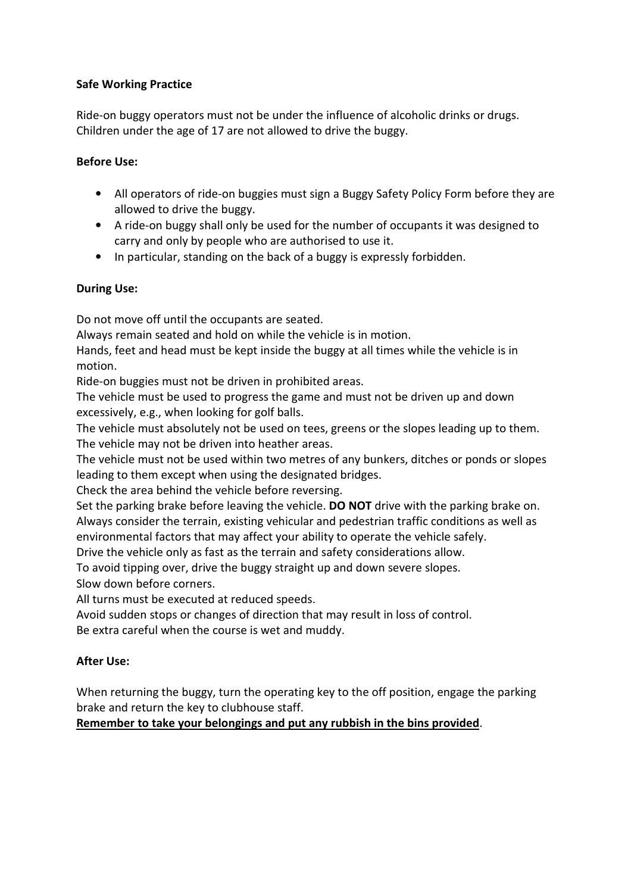#### **Safe Working Practice**

Ride-on buggy operators must not be under the influence of alcoholic drinks or drugs. Children under the age of 17 are not allowed to drive the buggy.

#### **Before Use:**

- All operators of ride-on buggies must sign a Buggy Safety Policy Form before they are allowed to drive the buggy.
- A ride-on buggy shall only be used for the number of occupants it was designed to carry and only by people who are authorised to use it.
- In particular, standing on the back of a buggy is expressly forbidden.

### **During Use:**

Do not move off until the occupants are seated.

Always remain seated and hold on while the vehicle is in motion.

Hands, feet and head must be kept inside the buggy at all times while the vehicle is in motion.

Ride-on buggies must not be driven in prohibited areas.

The vehicle must be used to progress the game and must not be driven up and down excessively, e.g., when looking for golf balls.

The vehicle must absolutely not be used on tees, greens or the slopes leading up to them. The vehicle may not be driven into heather areas.

The vehicle must not be used within two metres of any bunkers, ditches or ponds or slopes leading to them except when using the designated bridges.

Check the area behind the vehicle before reversing.

Set the parking brake before leaving the vehicle. **DO NOT** drive with the parking brake on. Always consider the terrain, existing vehicular and pedestrian traffic conditions as well as environmental factors that may affect your ability to operate the vehicle safely.

Drive the vehicle only as fast as the terrain and safety considerations allow.

To avoid tipping over, drive the buggy straight up and down severe slopes. Slow down before corners.

All turns must be executed at reduced speeds.

Avoid sudden stops or changes of direction that may result in loss of control.

Be extra careful when the course is wet and muddy.

## **After Use:**

When returning the buggy, turn the operating key to the off position, engage the parking brake and return the key to clubhouse staff.

**Remember to take your belongings and put any rubbish in the bins provided**.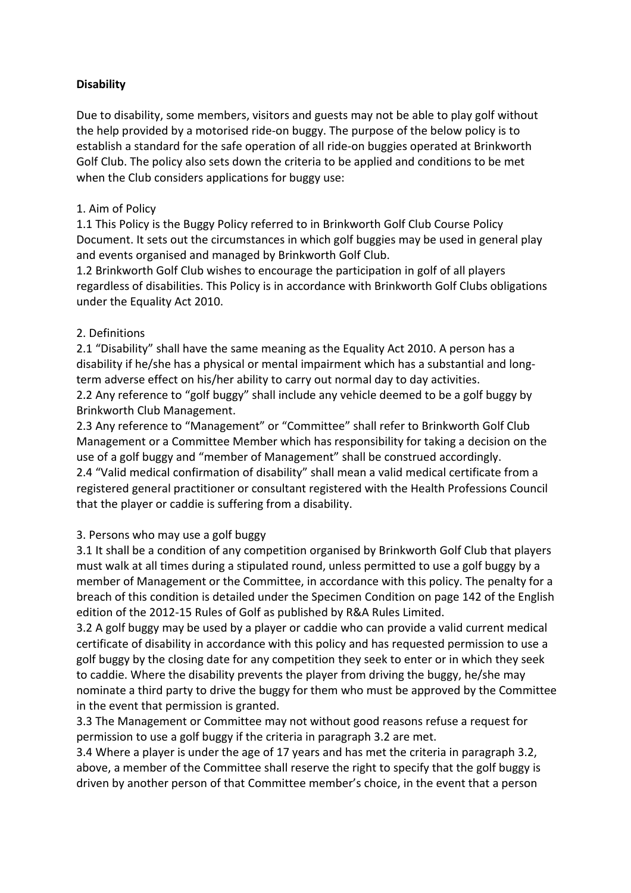#### **Disability**

Due to disability, some members, visitors and guests may not be able to play golf without the help provided by a motorised ride-on buggy. The purpose of the below policy is to establish a standard for the safe operation of all ride-on buggies operated at Brinkworth Golf Club. The policy also sets down the criteria to be applied and conditions to be met when the Club considers applications for buggy use:

#### 1. Aim of Policy

1.1 This Policy is the Buggy Policy referred to in Brinkworth Golf Club Course Policy Document. It sets out the circumstances in which golf buggies may be used in general play and events organised and managed by Brinkworth Golf Club.

1.2 Brinkworth Golf Club wishes to encourage the participation in golf of all players regardless of disabilities. This Policy is in accordance with Brinkworth Golf Clubs obligations under the Equality Act 2010.

#### 2. Definitions

2.1 "Disability" shall have the same meaning as the Equality Act 2010. A person has a disability if he/she has a physical or mental impairment which has a substantial and longterm adverse effect on his/her ability to carry out normal day to day activities.

2.2 Any reference to "golf buggy" shall include any vehicle deemed to be a golf buggy by Brinkworth Club Management.

2.3 Any reference to "Management" or "Committee" shall refer to Brinkworth Golf Club Management or a Committee Member which has responsibility for taking a decision on the use of a golf buggy and "member of Management" shall be construed accordingly. 2.4 "Valid medical confirmation of disability" shall mean a valid medical certificate from a registered general practitioner or consultant registered with the Health Professions Council that the player or caddie is suffering from a disability.

#### 3. Persons who may use a golf buggy

3.1 It shall be a condition of any competition organised by Brinkworth Golf Club that players must walk at all times during a stipulated round, unless permitted to use a golf buggy by a member of Management or the Committee, in accordance with this policy. The penalty for a breach of this condition is detailed under the Specimen Condition on page 142 of the English edition of the 2012-15 Rules of Golf as published by R&A Rules Limited.

3.2 A golf buggy may be used by a player or caddie who can provide a valid current medical certificate of disability in accordance with this policy and has requested permission to use a golf buggy by the closing date for any competition they seek to enter or in which they seek to caddie. Where the disability prevents the player from driving the buggy, he/she may nominate a third party to drive the buggy for them who must be approved by the Committee in the event that permission is granted.

3.3 The Management or Committee may not without good reasons refuse a request for permission to use a golf buggy if the criteria in paragraph 3.2 are met.

3.4 Where a player is under the age of 17 years and has met the criteria in paragraph 3.2, above, a member of the Committee shall reserve the right to specify that the golf buggy is driven by another person of that Committee member's choice, in the event that a person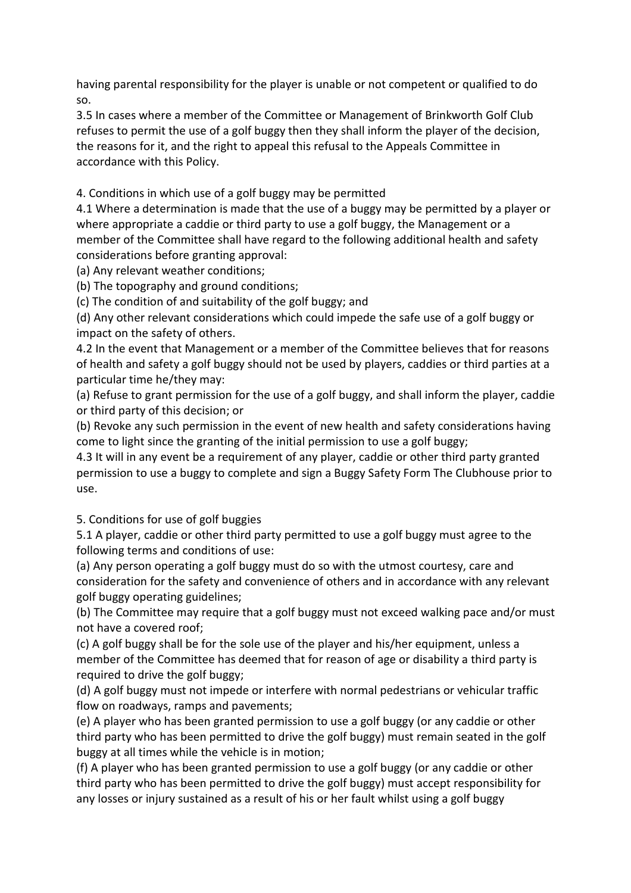having parental responsibility for the player is unable or not competent or qualified to do so.

3.5 In cases where a member of the Committee or Management of Brinkworth Golf Club refuses to permit the use of a golf buggy then they shall inform the player of the decision, the reasons for it, and the right to appeal this refusal to the Appeals Committee in accordance with this Policy.

4. Conditions in which use of a golf buggy may be permitted

4.1 Where a determination is made that the use of a buggy may be permitted by a player or where appropriate a caddie or third party to use a golf buggy, the Management or a member of the Committee shall have regard to the following additional health and safety considerations before granting approval:

(a) Any relevant weather conditions;

(b) The topography and ground conditions;

(c) The condition of and suitability of the golf buggy; and

(d) Any other relevant considerations which could impede the safe use of a golf buggy or impact on the safety of others.

4.2 In the event that Management or a member of the Committee believes that for reasons of health and safety a golf buggy should not be used by players, caddies or third parties at a particular time he/they may:

(a) Refuse to grant permission for the use of a golf buggy, and shall inform the player, caddie or third party of this decision; or

(b) Revoke any such permission in the event of new health and safety considerations having come to light since the granting of the initial permission to use a golf buggy;

4.3 It will in any event be a requirement of any player, caddie or other third party granted permission to use a buggy to complete and sign a Buggy Safety Form The Clubhouse prior to use.

5. Conditions for use of golf buggies

5.1 A player, caddie or other third party permitted to use a golf buggy must agree to the following terms and conditions of use:

(a) Any person operating a golf buggy must do so with the utmost courtesy, care and consideration for the safety and convenience of others and in accordance with any relevant golf buggy operating guidelines;

(b) The Committee may require that a golf buggy must not exceed walking pace and/or must not have a covered roof;

(c) A golf buggy shall be for the sole use of the player and his/her equipment, unless a member of the Committee has deemed that for reason of age or disability a third party is required to drive the golf buggy;

(d) A golf buggy must not impede or interfere with normal pedestrians or vehicular traffic flow on roadways, ramps and pavements;

(e) A player who has been granted permission to use a golf buggy (or any caddie or other third party who has been permitted to drive the golf buggy) must remain seated in the golf buggy at all times while the vehicle is in motion;

(f) A player who has been granted permission to use a golf buggy (or any caddie or other third party who has been permitted to drive the golf buggy) must accept responsibility for any losses or injury sustained as a result of his or her fault whilst using a golf buggy